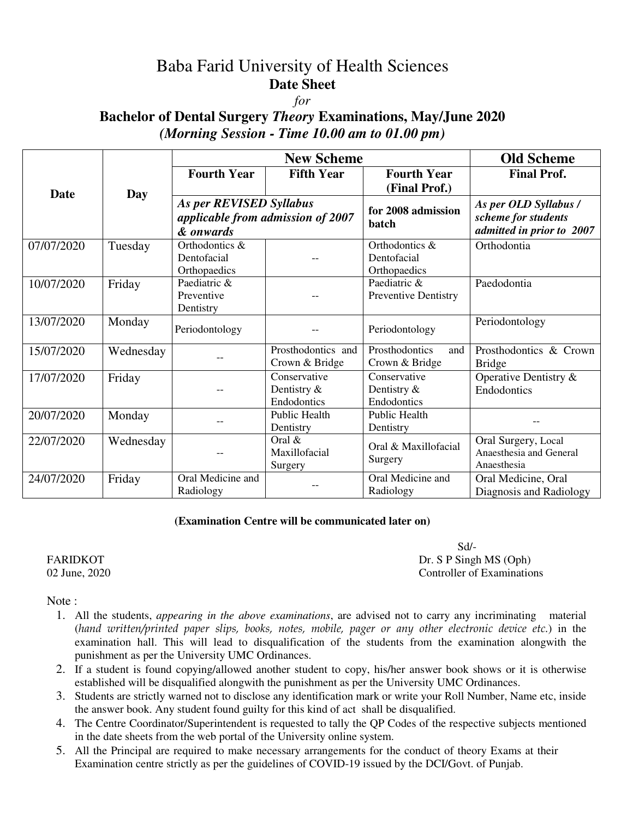# Baba Farid University of Health Sciences **Date Sheet**

#### *for*

## **Bachelor of Dental Surgery** *Theory* **Examinations, May/June 2020**  *(Morning Session - Time 10.00 am to 01.00 pm)*

|             | Day       | <b>New Scheme</b>                                                         |                                            |                                               | <b>Old Scheme</b>                                                         |
|-------------|-----------|---------------------------------------------------------------------------|--------------------------------------------|-----------------------------------------------|---------------------------------------------------------------------------|
| <b>Date</b> |           | <b>Fourth Year</b>                                                        | <b>Fifth Year</b>                          | <b>Fourth Year</b><br>(Final Prof.)           | <b>Final Prof.</b>                                                        |
|             |           | As per REVISED Syllabus<br>applicable from admission of 2007<br>& onwards |                                            | for 2008 admission<br>batch                   | As per OLD Syllabus /<br>scheme for students<br>admitted in prior to 2007 |
| 07/07/2020  | Tuesday   | Orthodontics &<br>Dentofacial<br>Orthopaedics                             |                                            | Orthodontics &<br>Dentofacial<br>Orthopaedics | Orthodontia                                                               |
| 10/07/2020  | Friday    | Paediatric &<br>Preventive<br>Dentistry                                   |                                            | Paediatric &<br><b>Preventive Dentistry</b>   | Paedodontia                                                               |
| 13/07/2020  | Monday    | Periodontology                                                            |                                            | Periodontology                                | Periodontology                                                            |
| 15/07/2020  | Wednesday |                                                                           | Prosthodontics and<br>Crown & Bridge       | Prosthodontics<br>and<br>Crown & Bridge       | Prosthodontics & Crown<br><b>Bridge</b>                                   |
| 17/07/2020  | Friday    |                                                                           | Conservative<br>Dentistry &<br>Endodontics | Conservative<br>Dentistry &<br>Endodontics    | Operative Dentistry &<br>Endodontics                                      |
| 20/07/2020  | Monday    |                                                                           | Public Health<br>Dentistry                 | Public Health<br>Dentistry                    |                                                                           |
| 22/07/2020  | Wednesday |                                                                           | Oral $\&$<br>Maxillofacial<br>Surgery      | Oral & Maxillofacial<br>Surgery               | Oral Surgery, Local<br>Anaesthesia and General<br>Anaesthesia             |
| 24/07/2020  | Friday    | Oral Medicine and<br>Radiology                                            |                                            | Oral Medicine and<br>Radiology                | Oral Medicine, Oral<br>Diagnosis and Radiology                            |

#### **(Examination Centre will be communicated later on)**

 Sd/- FARIDKOT Dr. S P Singh MS (Oph) 02 June, 2020 Controller of Examinations

Note:

- 1. All the students, *appearing in the above examinations*, are advised not to carry any incriminating material (*hand written/printed paper slips, books, notes, mobile, pager or any other electronic device etc.*) in the examination hall. This will lead to disqualification of the students from the examination alongwith the punishment as per the University UMC Ordinances.
- 2. If a student is found copying/allowed another student to copy, his/her answer book shows or it is otherwise established will be disqualified alongwith the punishment as per the University UMC Ordinances.
- 3. Students are strictly warned not to disclose any identification mark or write your Roll Number, Name etc, inside the answer book. Any student found guilty for this kind of act shall be disqualified.
- 4. The Centre Coordinator/Superintendent is requested to tally the QP Codes of the respective subjects mentioned in the date sheets from the web portal of the University online system.
- 5. All the Principal are required to make necessary arrangements for the conduct of theory Exams at their Examination centre strictly as per the guidelines of COVID-19 issued by the DCI/Govt. of Punjab.